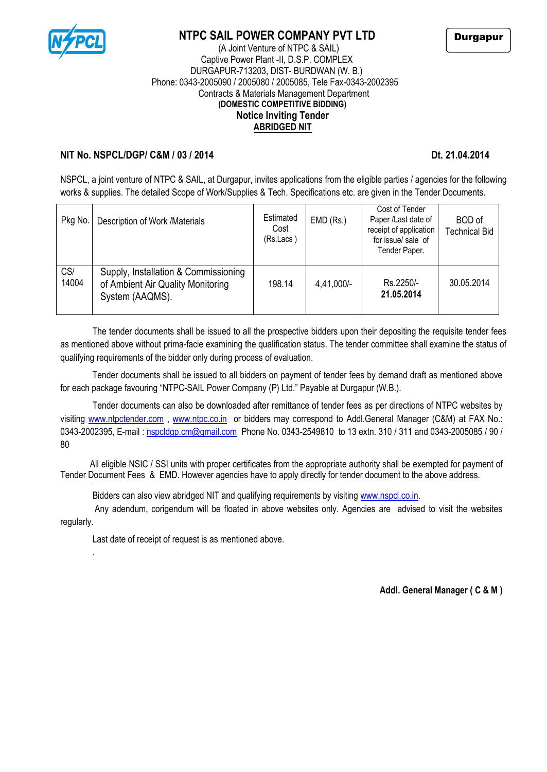

# **NTPC SAIL POWER COMPANY PVT LTD**



### (A Joint Venture of NTPC & SAIL) Captive Power Plant -II, D.S.P. COMPLEX DURGAPUR-713203, DIST- BURDWAN (W. B.) Phone: 0343-2005090 / 2005080 / 2005085, Tele Fax-0343-2002395 Contracts & Materials Management Department **(DOMESTIC COMPETITIVE BIDDING) Notice Inviting Tender ABRIDGED NIT**

## **NIT No. NSPCL/DGP/ C&M / 03 / 2014** Dt. 21.04.2014

NSPCL, a joint venture of NTPC & SAIL, at Durgapur, invites applications from the eligible parties / agencies for the following works & supplies. The detailed Scope of Work/Supplies & Tech. Specifications etc. are given in the Tender Documents.

| Pkg No.      | Description of Work /Materials                                                               | Estimated<br>Cost<br>(Rs.Lacs) | $EMD$ (Rs.) | Cost of Tender<br>Paper /Last date of<br>receipt of application<br>for issue/ sale of<br>Tender Paper. | <b>BOD</b> of<br><b>Technical Bid</b> |
|--------------|----------------------------------------------------------------------------------------------|--------------------------------|-------------|--------------------------------------------------------------------------------------------------------|---------------------------------------|
| CS/<br>14004 | Supply, Installation & Commissioning<br>of Ambient Air Quality Monitoring<br>System (AAQMS). | 198.14                         | 4,41,000/-  | Rs.2250/-<br>21.05.2014                                                                                | 30.05.2014                            |

The tender documents shall be issued to all the prospective bidders upon their depositing the requisite tender fees as mentioned above without prima-facie examining the qualification status. The tender committee shall examine the status of qualifying requirements of the bidder only during process of evaluation.

Tender documents shall be issued to all bidders on payment of tender fees by demand draft as mentioned above for each package favouring "NTPC-SAIL Power Company (P) Ltd." Payable at Durgapur (W.B.).

Tender documents can also be downloaded after remittance of tender fees as per directions of NTPC websites by visiting [www.ntpctender.com](http://www.ntpctender.com/) , [www.ntpc.co.in](http://www.ntpc.co.in/) or bidders may correspond to Addl.General Manager (C&M) at FAX No.: 0343-2002395, E-mail: [nspcldgp.cm@gmail.com](mailto:nspcldgp.cm@gmail.com) Phone No. 0343-2549810 to 13 extn. 310 / 311 and 0343-2005085 / 90 / 80

 All eligible NSIC / SSI units with proper certificates from the appropriate authority shall be exempted for payment of Tender Document Fees & EMD. However agencies have to apply directly for tender document to the above address.

Bidders can also view abridged NIT and qualifying requirements by visiting [www.nspcl.co.in.](http://www.nspcl.co.in/)

Any adendum, corigendum will be floated in above websites only. Agencies are advised to visit the websites regularly.

Last date of receipt of request is as mentioned above.

.

**Addl. General Manager ( C & M )**